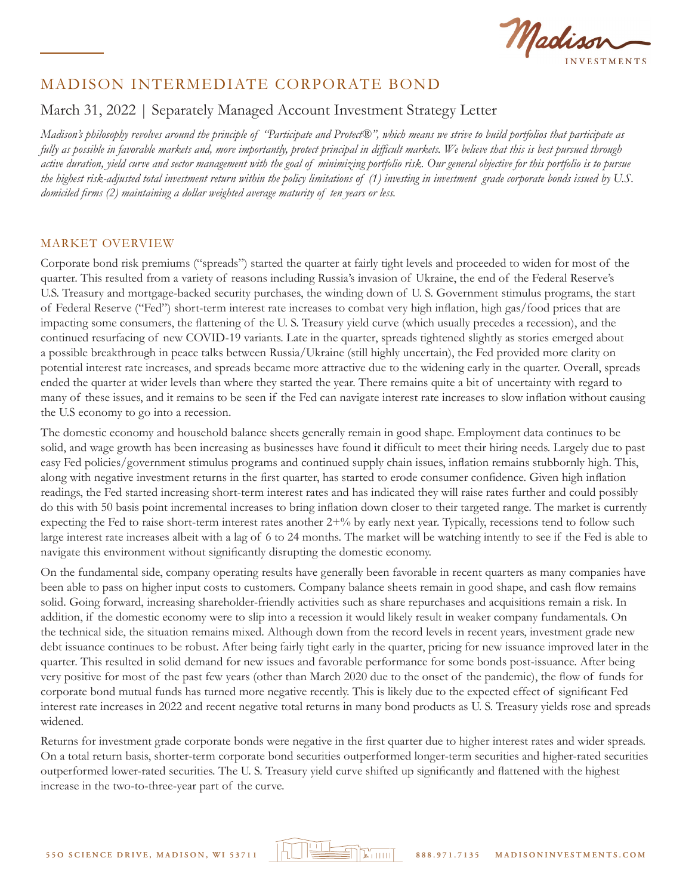Madiss **ESTMENTS** 

# March 31, 2022 | Separately Managed Account Investment Strategy Letter

*Madison's philosophy revolves around the principle of "Participate and Protect®", which means we strive to build portfolios that participate as fully as possible in favorable markets and, more importantly, protect principal in difficult markets. We believe that this is best pursued through active duration, yield curve and sector management with the goal of minimizing portfolio risk. Our general objective for this portfolio is to pursue the highest risk-adjusted total investment return within the policy limitations of (1) investing in investment grade corporate bonds issued by U.S. domiciled firms (2) maintaining a dollar weighted average maturity of ten years or less.*

#### MARKET OVERVIEW

Corporate bond risk premiums ("spreads") started the quarter at fairly tight levels and proceeded to widen for most of the quarter. This resulted from a variety of reasons including Russia's invasion of Ukraine, the end of the Federal Reserve's U.S. Treasury and mortgage-backed security purchases, the winding down of U. S. Government stimulus programs, the start of Federal Reserve ("Fed") short-term interest rate increases to combat very high inflation, high gas/food prices that are impacting some consumers, the flattening of the U. S. Treasury yield curve (which usually precedes a recession), and the continued resurfacing of new COVID-19 variants. Late in the quarter, spreads tightened slightly as stories emerged about a possible breakthrough in peace talks between Russia/Ukraine (still highly uncertain), the Fed provided more clarity on potential interest rate increases, and spreads became more attractive due to the widening early in the quarter. Overall, spreads ended the quarter at wider levels than where they started the year. There remains quite a bit of uncertainty with regard to many of these issues, and it remains to be seen if the Fed can navigate interest rate increases to slow inflation without causing the U.S economy to go into a recession.

The domestic economy and household balance sheets generally remain in good shape. Employment data continues to be solid, and wage growth has been increasing as businesses have found it difficult to meet their hiring needs. Largely due to past easy Fed policies/government stimulus programs and continued supply chain issues, inflation remains stubbornly high. This, along with negative investment returns in the first quarter, has started to erode consumer confidence. Given high inflation readings, the Fed started increasing short-term interest rates and has indicated they will raise rates further and could possibly do this with 50 basis point incremental increases to bring inflation down closer to their targeted range. The market is currently expecting the Fed to raise short-term interest rates another 2+% by early next year. Typically, recessions tend to follow such large interest rate increases albeit with a lag of 6 to 24 months. The market will be watching intently to see if the Fed is able to navigate this environment without significantly disrupting the domestic economy.

On the fundamental side, company operating results have generally been favorable in recent quarters as many companies have been able to pass on higher input costs to customers. Company balance sheets remain in good shape, and cash flow remains solid. Going forward, increasing shareholder-friendly activities such as share repurchases and acquisitions remain a risk. In addition, if the domestic economy were to slip into a recession it would likely result in weaker company fundamentals. On the technical side, the situation remains mixed. Although down from the record levels in recent years, investment grade new debt issuance continues to be robust. After being fairly tight early in the quarter, pricing for new issuance improved later in the quarter. This resulted in solid demand for new issues and favorable performance for some bonds post-issuance. After being very positive for most of the past few years (other than March 2020 due to the onset of the pandemic), the flow of funds for corporate bond mutual funds has turned more negative recently. This is likely due to the expected effect of significant Fed interest rate increases in 2022 and recent negative total returns in many bond products as U. S. Treasury yields rose and spreads widened.

Returns for investment grade corporate bonds were negative in the first quarter due to higher interest rates and wider spreads. On a total return basis, shorter-term corporate bond securities outperformed longer-term securities and higher-rated securities outperformed lower-rated securities. The U. S. Treasury yield curve shifted up significantly and flattened with the highest increase in the two-to-three-year part of the curve.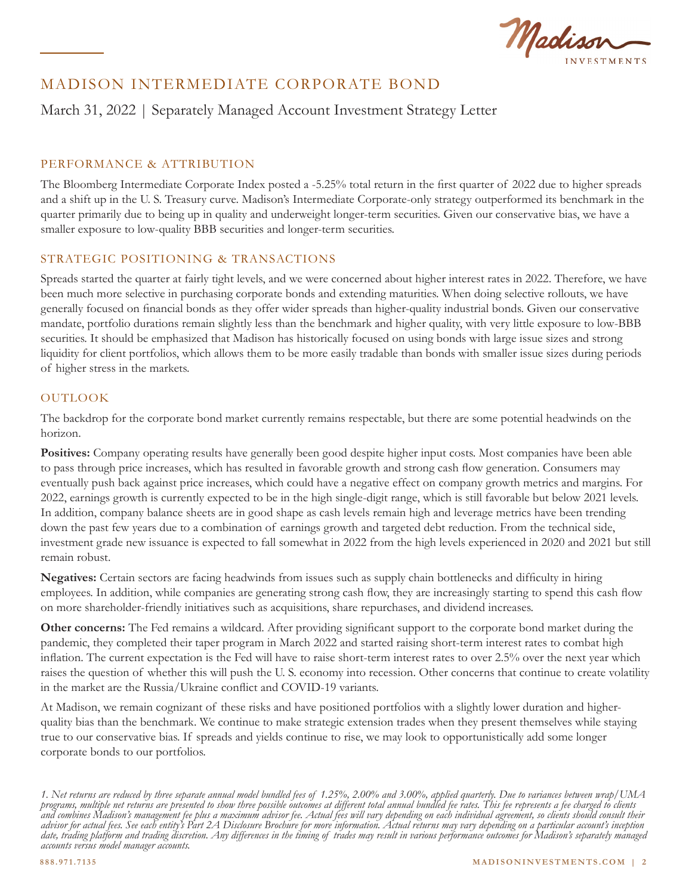Madison

# March 31, 2022 | Separately Managed Account Investment Strategy Letter

#### PERFORMANCE & ATTRIBUTION

The Bloomberg Intermediate Corporate Index posted a -5.25% total return in the first quarter of 2022 due to higher spreads and a shift up in the U. S. Treasury curve. Madison's Intermediate Corporate-only strategy outperformed its benchmark in the quarter primarily due to being up in quality and underweight longer-term securities. Given our conservative bias, we have a smaller exposure to low-quality BBB securities and longer-term securities.

#### STRATEGIC POSITIONING & TRANSACTIONS

Spreads started the quarter at fairly tight levels, and we were concerned about higher interest rates in 2022. Therefore, we have been much more selective in purchasing corporate bonds and extending maturities. When doing selective rollouts, we have generally focused on financial bonds as they offer wider spreads than higher-quality industrial bonds. Given our conservative mandate, portfolio durations remain slightly less than the benchmark and higher quality, with very little exposure to low-BBB securities. It should be emphasized that Madison has historically focused on using bonds with large issue sizes and strong liquidity for client portfolios, which allows them to be more easily tradable than bonds with smaller issue sizes during periods of higher stress in the markets.

## **OUTLOOK**

The backdrop for the corporate bond market currently remains respectable, but there are some potential headwinds on the horizon.

**Positives:** Company operating results have generally been good despite higher input costs. Most companies have been able to pass through price increases, which has resulted in favorable growth and strong cash flow generation. Consumers may eventually push back against price increases, which could have a negative effect on company growth metrics and margins. For 2022, earnings growth is currently expected to be in the high single-digit range, which is still favorable but below 2021 levels. In addition, company balance sheets are in good shape as cash levels remain high and leverage metrics have been trending down the past few years due to a combination of earnings growth and targeted debt reduction. From the technical side, investment grade new issuance is expected to fall somewhat in 2022 from the high levels experienced in 2020 and 2021 but still remain robust.

**Negatives:** Certain sectors are facing headwinds from issues such as supply chain bottlenecks and difficulty in hiring employees. In addition, while companies are generating strong cash flow, they are increasingly starting to spend this cash flow on more shareholder-friendly initiatives such as acquisitions, share repurchases, and dividend increases.

**Other concerns:** The Fed remains a wildcard. After providing significant support to the corporate bond market during the pandemic, they completed their taper program in March 2022 and started raising short-term interest rates to combat high inflation. The current expectation is the Fed will have to raise short-term interest rates to over 2.5% over the next year which raises the question of whether this will push the U. S. economy into recession. Other concerns that continue to create volatility in the market are the Russia/Ukraine conflict and COVID-19 variants.

At Madison, we remain cognizant of these risks and have positioned portfolios with a slightly lower duration and higherquality bias than the benchmark. We continue to make strategic extension trades when they present themselves while staying true to our conservative bias. If spreads and yields continue to rise, we may look to opportunistically add some longer corporate bonds to our portfolios.

*<sup>1.</sup> Net returns are reduced by three separate annual model bundled fees of 1.25%, 2.00% and 3.00%, applied quarterly. Due to variances between wrap/UMA programs, multiple net returns are presented to show three possible outcomes at different total annual bundled fee rates. This fee represents a fee charged to clients and combines Madison's management fee plus a maximum advisor fee. Actual fees will vary depending on each individual agreement, so clients should consult their advisor for actual fees. See each entity's Part 2A Disclosure Brochure for more information. Actual returns may vary depending on a particular account's inception date, trading platform and trading discretion. Any differences in the timing of trades may result in various performance outcomes for Madison's separately managed accounts versus model manager accounts.*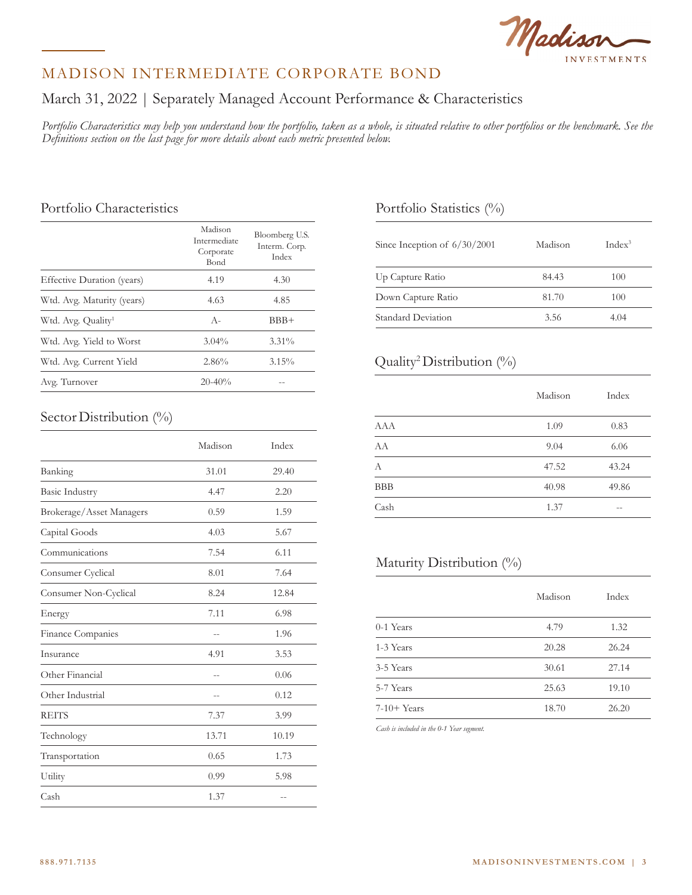

# March 31, 2022 | Separately Managed Account Performance & Characteristics

*Portfolio Characteristics may help you understand how the portfolio, taken as a whole, is situated relative to other portfolios or the benchmark. See the Definitions section on the last page for more details about each metric presented below.*

## Portfolio Characteristics

|                                | Madison<br>Intermediate<br>Corporate<br>Bond | Bloomberg U.S.<br>Interm. Corp.<br>Index |  |
|--------------------------------|----------------------------------------------|------------------------------------------|--|
| Effective Duration (years)     | 4.19                                         | 4.30                                     |  |
| Wtd. Avg. Maturity (years)     | 4.63                                         | 4.85                                     |  |
| Wtd. Avg. Quality <sup>1</sup> | $A -$                                        | BBB+                                     |  |
| Wtd. Avg. Yield to Worst       | $3.04\%$                                     | $3.31\%$                                 |  |
| Wtd. Avg. Current Yield        | 2.86%                                        | 3.15%                                    |  |
| Avg. Turnover                  | $20 - 40\%$                                  |                                          |  |

## Sector Distribution (%)

|                          | Madison | Index |
|--------------------------|---------|-------|
| Banking                  | 31.01   | 29.40 |
| <b>Basic Industry</b>    | 4.47    | 2.20  |
| Brokerage/Asset Managers | 0.59    | 1.59  |
| Capital Goods            | 4.03    | 5.67  |
| Communications           | 7.54    | 6.11  |
| Consumer Cyclical        | 8.01    | 7.64  |
| Consumer Non-Cyclical    | 8.24    | 12.84 |
| Energy                   | 7.11    | 6.98  |
| Finance Companies        | $-$     | 1.96  |
| Insurance                | 4.91    | 3.53  |
| Other Financial          | $-$     | 0.06  |
| Other Industrial         | $-$     | 0.12  |
| <b>REITS</b>             | 7.37    | 3.99  |
| Technology               | 13.71   | 10.19 |
| Transportation           | 0.65    | 1.73  |
| Utility                  | 0.99    | 5.98  |
| Cash                     | 1.37    | $-$   |

# Portfolio Statistics (%)

| Since Inception of $6/30/2001$ | Madison | Index <sup>3</sup> |
|--------------------------------|---------|--------------------|
| Up Capture Ratio               | 84.43   | 100                |
| Down Capture Ratio             | 81.70   | 100                |
| Standard Deviation             | 3.56    | 4.04               |

# Quality2 Distribution (%)

|            | Madison | Index |
|------------|---------|-------|
| <b>AAA</b> | 1.09    | 0.83  |
| AA         | 9.04    | 6.06  |
| А          | 47.52   | 43.24 |
| <b>BBB</b> | 40.98   | 49.86 |
| Cash       | 1.37    |       |

## Maturity Distribution (%)

|               | Madison | Index |
|---------------|---------|-------|
| 0-1 Years     | 4.79    | 1.32  |
| 1-3 Years     | 20.28   | 26.24 |
| 3-5 Years     | 30.61   | 27.14 |
| 5-7 Years     | 25.63   | 19.10 |
| $7-10+$ Years | 18.70   | 26.20 |

*Cash is included in the 0-1 Year segment.*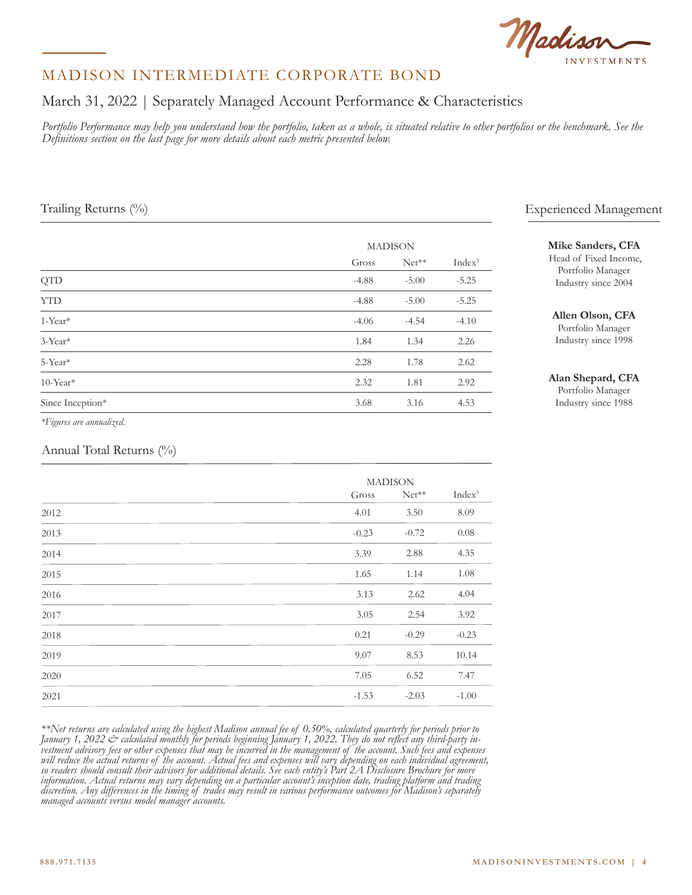

# March 31, 2022 | Separately Managed Account Performance & Characteristics

Portfolio Performance may help you understand how the portfolio, taken as a whole, is situated relative to other portfolios or the benchmark. See the *Definitions section on the last page for more details about each metric presented below.*

|                         |         | <b>MADISON</b> |                    |  |  |
|-------------------------|---------|----------------|--------------------|--|--|
|                         | Gross   | $Net**$        | Index <sup>3</sup> |  |  |
| <b>QTD</b>              | $-4.88$ | $-5.00$        | $-5.25$            |  |  |
| <b>YTD</b>              | $-4.88$ | $-5.00$        | $-5.25$            |  |  |
| 1-Year*                 | $-4.06$ | $-4.54$        | $-4.10$            |  |  |
| 3-Year*                 | 1.84    | 1.34           | 2.26               |  |  |
| 5-Year*                 | 2.28    | 1.78           | 2.62               |  |  |
| $10$ -Year <sup>*</sup> | 2.32    | 1.81           | 2.92               |  |  |
| Since Inception*        | 3.68    | 3.16           | 4.53               |  |  |

*\*Figures are annualized.*

#### Annual Total Returns (%)

|      |         | <b>MADISON</b> |                    |  |  |
|------|---------|----------------|--------------------|--|--|
|      | Gross   | $Net**$        | Index <sup>3</sup> |  |  |
| 2012 | 4.01    | 3.50           | 8.09               |  |  |
| 2013 | $-0.23$ | $-0.72$        | 0.08               |  |  |
| 2014 | 3.39    | 2.88           | 4.35               |  |  |
| 2015 | 1.65    | 1.14           | 1.08               |  |  |
| 2016 | 3.13    | 2.62           | 4.04               |  |  |
| 2017 | 3.05    | 2.54           | 3.92               |  |  |
| 2018 | 0.21    | $-0.29$        | $-0.23$            |  |  |
| 2019 | 9.07    | 8.53           | 10.14              |  |  |
| 2020 | 7.05    | 6.52           | 7.47               |  |  |
| 2021 | $-1.53$ | $-2.03$        | $-1.00$            |  |  |

*\*\*Net returns are calculated using the highest Madison annual fee of 0.50%, calculated quarterly for periods prior to*  January 1, 2022 & calculated monthly for periods beginning January 1, 2022. They do not reflect any third-party in-<br>vestment advisory fees or other expenses that may be incurred in the management of the account. Such fees *will reduce the actual returns of the account. Actual fees and expenses will vary depending on each individual agreement, so readers should consult their advisors for additional details. See each entity's Part 2A Disclosure Brochure for more information. Actual returns may vary depending on a particular account's inception date, trading platform and trading discretion. Any differences in the timing of trades may result in various performance outcomes for Madison's separately managed accounts versus model manager accounts.*

## Trailing Returns (%) Experienced Management

#### **Mike Sanders, CFA**

 Head of Fixed Income, Portfolio Manager Industry since 2004

#### **Allen Olson, CFA**

Portfolio Manager Industry since 1998

#### **Alan Shepard, CFA**

Portfolio Manager Industry since 1988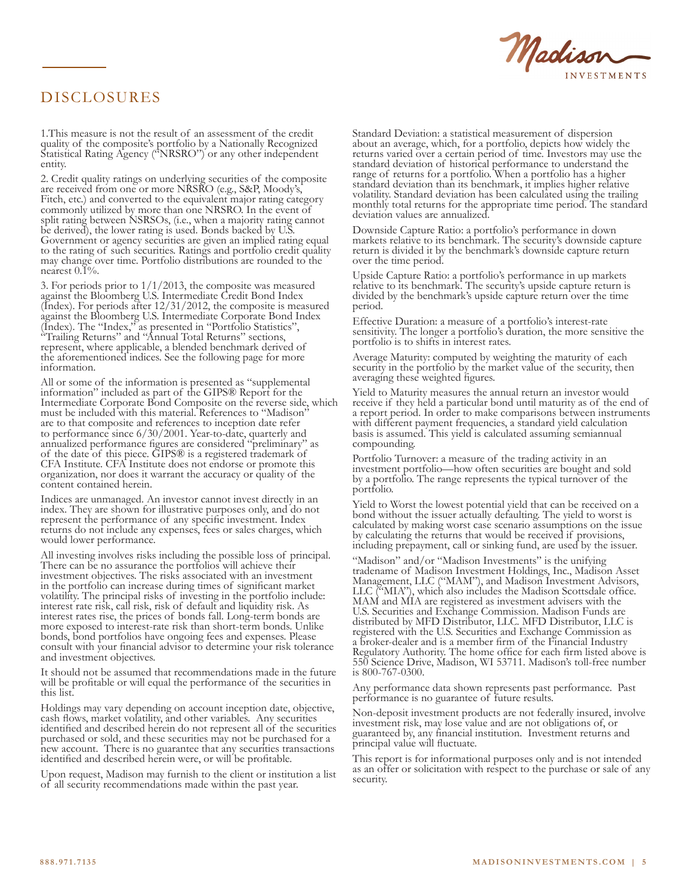

# DISCLOSURES

1.This measure is not the result of an assessment of the credit quality of the composite's portfolio by a Nationally Recognized Statistical Rating Agency ("NRSRO") or any other independent entity.

2. Credit quality ratings on underlying securities of the composite are received from one or more NRSRO (e.g., S&P, Moody's, Fitch, etc.) and converted to the equivalent major rating category commonly utilized by more than one NRSRO. In the event of split rating between NSRSOs, (i.e., when a majority rating cannot be derived), the lower rating is used. Bonds backed by U.S. Government or agency securities are given an implied rating equal to the rating of such securities. Ratings and portfolio credit quality may change over time. Portfolio distributions are rounded to the nearest 0.1%.

3. For periods prior to 1/1/2013, the composite was measured against the Bloomberg U.S. Intermediate Credit Bond Index (Index). For periods after 12/31/2012, the composite is measured against the Bloomberg U.S. Intermediate Corporate Bond Index (Index). The "Index," as presented in "Portfolio Statistics", "Trailing Returns" and "Annual Total Returns" sections, represent, where applicable, a blended benchmark derived of the aforementioned indices. See the following page for more information.

All or some of the information is presented as "supplemental information" included as part of the GIPS® Report for the Intermediate Corporate Bond Composite on the reverse side, which must be included with this material. References to "Madison" are to that composite and references to inception date refer to performance since 6/30/2001. Year-to-date, quarterly and annualized performance figures are considered "preliminary" as of the date of this piece. GIPS® is a registered trademark of CFA Institute. CFA Institute does not endorse or promote this organization, nor does it warrant the accuracy or quality of the content contained herein.

Indices are unmanaged. An investor cannot invest directly in an index. They are shown for illustrative purposes only, and do not represent the performance of any specific investment. Index returns do not include any expenses, fees or sales charges, which would lower performance.

All investing involves risks including the possible loss of principal. There can be no assurance the portfolios will achieve their investment objectives. The risks associated with an investment in the portfolio can increase during times of significant market volatility. The principal risks of investing in the portfolio include: interest rate risk, call risk, risk of default and liquidity risk. As interest rates rise, the prices of bonds fall. Long-term bonds are more exposed to interest-rate risk than short-term bonds. Unlike bonds, bond portfolios have ongoing fees and expenses. Please consult with your financial advisor to determine your risk tolerance and investment objectives.

It should not be assumed that recommendations made in the future will be profitable or will equal the performance of the securities in this list.

Holdings may vary depending on account inception date, objective, cash flows, market volatility, and other variables. Any securities identified and described herein do not represent all of the securities purchased or sold, and these securities may not be purchased for a new account. There is no guarantee that any securities transactions identified and described herein were, or will be profitable.

Upon request, Madison may furnish to the client or institution a list of all security recommendations made within the past year.

Standard Deviation: a statistical measurement of dispersion about an average, which, for a portfolio, depicts how widely the returns varied over a certain period of time. Investors may use the standard deviation of historical performance to understand the range of returns for a portfolio. When a portfolio has a higher standard deviation than its benchmark, it implies higher relative volatility. Standard deviation has been calculated using the trailing monthly total returns for the appropriate time period. The standard deviation values are annualized.

Downside Capture Ratio: a portfolio's performance in down markets relative to its benchmark. The security's downside capture return is divided it by the benchmark's downside capture return over the time period.

Upside Capture Ratio: a portfolio's performance in up markets relative to its benchmark. The security's upside capture return is divided by the benchmark's upside capture return over the time period.

Effective Duration: a measure of a portfolio's interest-rate sensitivity. The longer a portfolio's duration, the more sensitive the portfolio is to shifts in interest rates.

Average Maturity: computed by weighting the maturity of each security in the portfolio by the market value of the security, then averaging these weighted figures.

Yield to Maturity measures the annual return an investor would receive if they held a particular bond until maturity as of the end of a report period. In order to make comparisons between instruments with different payment frequencies, a standard yield calculation basis is assumed. This yield is calculated assuming semiannual compounding.

Portfolio Turnover: a measure of the trading activity in an investment portfolio—how often securities are bought and sold by a portfolio. The range represents the typical turnover of the portfolio.

Yield to Worst the lowest potential yield that can be received on a bond without the issuer actually defaulting. The yield to worst is calculated by making worst case scenario assumptions on the issue by calculating the returns that would be received if provisions, including prepayment, call or sinking fund, are used by the issuer.

"Madison" and/or "Madison Investments" is the unifying tradename of Madison Investment Holdings, Inc., Madison Asset Management, LLC ("MAM"), and Madison Investment Advisors, LLC ("MIA"), which also includes the Madison Scottsdale office. MAM and MIA are registered as investment advisers with the U.S. Securities and Exchange Commission. Madison Funds are distributed by MFD Distributor, LLC. MFD Distributor, LLC is registered with the U.S. Securities and Exchange Commission as a broker-dealer and is a member firm of the Financial Industry Regulatory Authority. The home office for each firm listed above is 550 Science Drive, Madison, WI 53711. Madison's toll-free number  $\frac{1}{18}800 - 767 - 0300$ .

Any performance data shown represents past performance. Past performance is no guarantee of future results.

Non-deposit investment products are not federally insured, involve investment risk, may lose value and are not obligations of, or guaranteed by, any financial institution. Investment returns and principal value will fluctuate.

This report is for informational purposes only and is not intended as an offer or solicitation with respect to the purchase or sale of any security.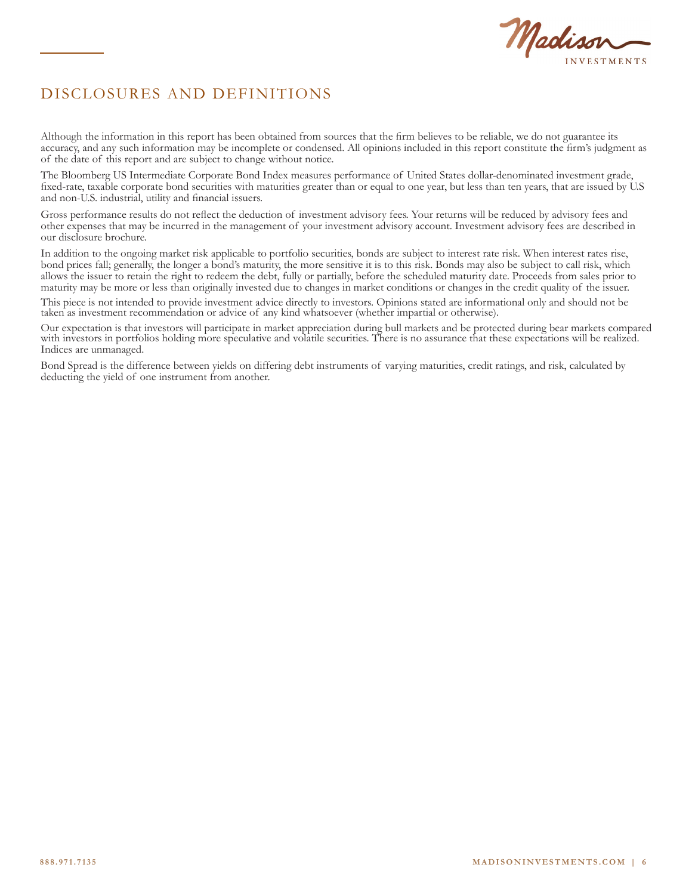

# DISCLOSURES AND DEFINITIONS

Although the information in this report has been obtained from sources that the firm believes to be reliable, we do not guarantee its accuracy, and any such information may be incomplete or condensed. All opinions included in this report constitute the firm's judgment as of the date of this report and are subject to change without notice.

The Bloomberg US Intermediate Corporate Bond Index measures performance of United States dollar-denominated investment grade, fixed-rate, taxable corporate bond securities with maturities greater than or equal to one year, but less than ten years, that are issued by U.S and non-U.S. industrial, utility and financial issuers.

Gross performance results do not reflect the deduction of investment advisory fees. Your returns will be reduced by advisory fees and other expenses that may be incurred in the management of your investment advisory account. Investment advisory fees are described in our disclosure brochure.

In addition to the ongoing market risk applicable to portfolio securities, bonds are subject to interest rate risk. When interest rates rise, bond prices fall; generally, the longer a bond's maturity, the more sensitive it is to this risk. Bonds may also be subject to call risk, which allows the issuer to retain the right to redeem the debt, fully or partially, before the scheduled maturity date. Proceeds from sales prior to maturity may be more or less than originally invested due to changes in market conditions or changes in the credit quality of the issuer.

This piece is not intended to provide investment advice directly to investors. Opinions stated are informational only and should not be taken as investment recommendation or advice of any kind whatsoever (whether impartial or otherwise).

Our expectation is that investors will participate in market appreciation during bull markets and be protected during bear markets compared with investors in portfolios holding more speculative and volatile securities. There is no assurance that these expectations will be realized. Indices are unmanaged.

Bond Spread is the difference between yields on differing debt instruments of varying maturities, credit ratings, and risk, calculated by deducting the yield of one instrument from another.